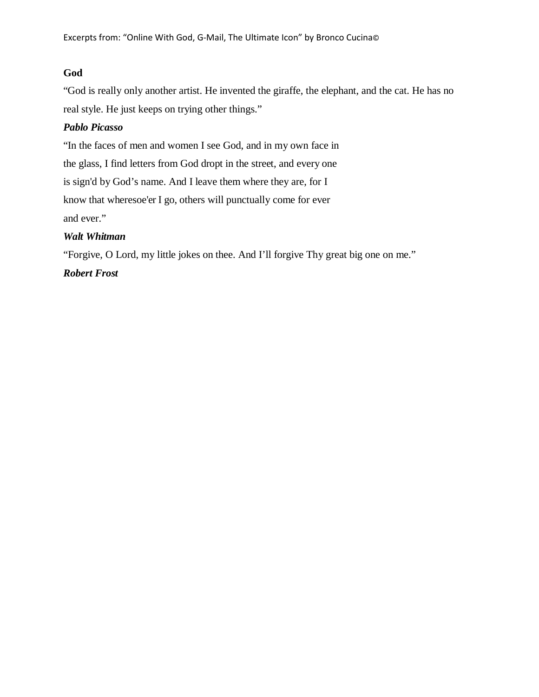### **God**

"God is really only another artist. He invented the giraffe, the elephant, and the cat. He has no real style. He just keeps on trying other things."

## *Pablo Picasso*

"In the faces of men and women I see God, and in my own face in the glass, I find letters from God dropt in the street, and every one is sign'd by God's name. And I leave them where they are, for I know that wheresoe'er I go, others will punctually come for ever and ever."

## *Walt Whitman*

"Forgive, O Lord, my little jokes on thee. And I'll forgive Thy great big one on me."

# *Robert Frost*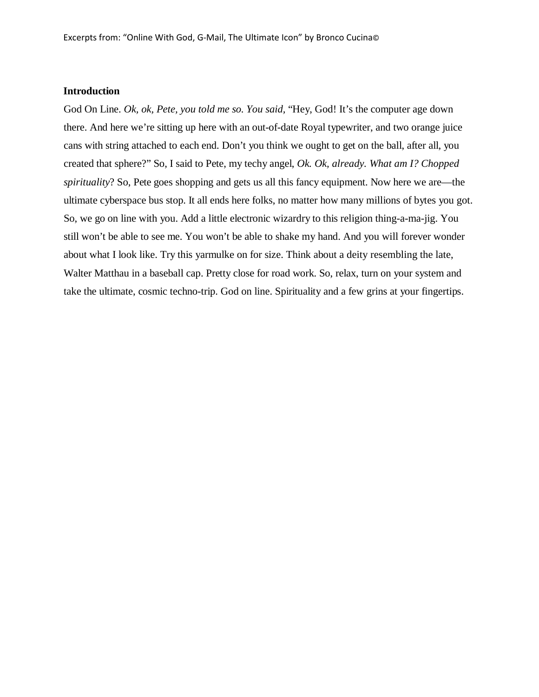#### **Introduction**

God On Line. *Ok, ok, Pete, you told me so. You said,* "Hey, God! It's the computer age down there. And here we're sitting up here with an out-of-date Royal typewriter, and two orange juice cans with string attached to each end. Don't you think we ought to get on the ball, after all, you created that sphere?" So, I said to Pete, my techy angel, *Ok. Ok, already. What am I? Chopped spirituality*? So, Pete goes shopping and gets us all this fancy equipment. Now here we are—the ultimate cyberspace bus stop. It all ends here folks, no matter how many millions of bytes you got. So, we go on line with you. Add a little electronic wizardry to this religion thing-a-ma-jig. You still won't be able to see me. You won't be able to shake my hand. And you will forever wonder about what I look like. Try this yarmulke on for size. Think about a deity resembling the late, Walter Matthau in a baseball cap. Pretty close for road work. So, relax, turn on your system and take the ultimate, cosmic techno-trip. God on line. Spirituality and a few grins at your fingertips.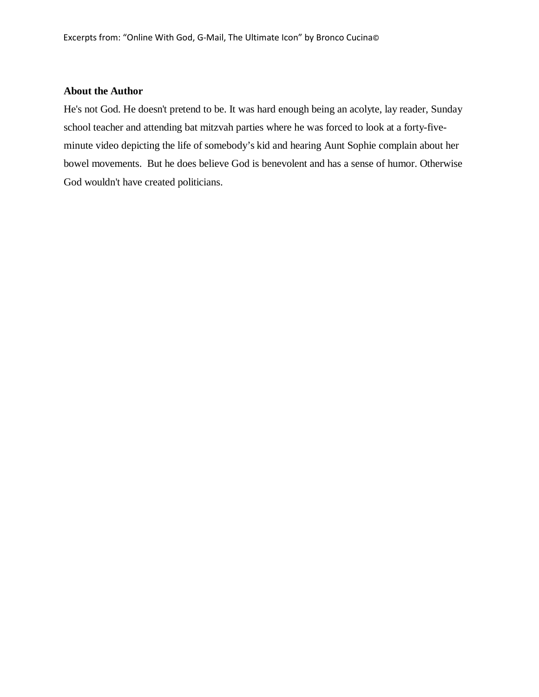#### **About the Author**

He's not God. He doesn't pretend to be. It was hard enough being an acolyte, lay reader, Sunday school teacher and attending bat mitzvah parties where he was forced to look at a forty-fiveminute video depicting the life of somebody's kid and hearing Aunt Sophie complain about her bowel movements. But he does believe God is benevolent and has a sense of humor. Otherwise God wouldn't have created politicians.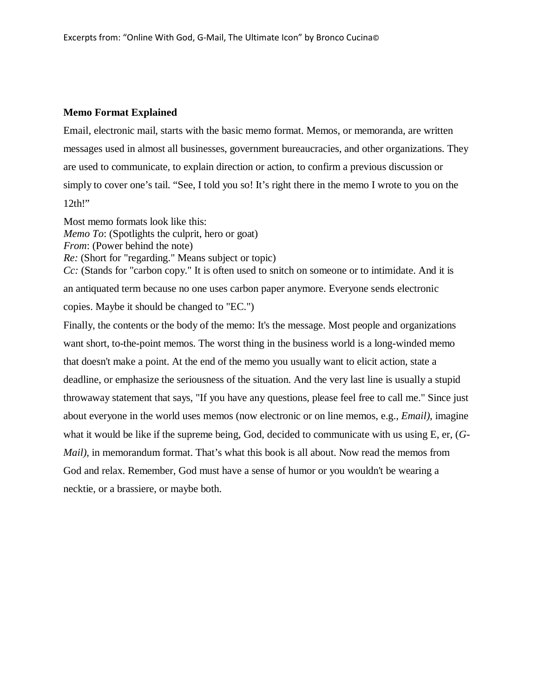### **Memo Format Explained**

Email, electronic mail, starts with the basic memo format. Memos, or memoranda, are written messages used in almost all businesses, government bureaucracies, and other organizations. They are used to communicate, to explain direction or action, to confirm a previous discussion or simply to cover one's tail. "See, I told you so! It's right there in the memo I wrote to you on the 12th!"

Most memo formats look like this: *Memo To*: (Spotlights the culprit, hero or goat) *From*: (Power behind the note) *Re:* (Short for "regarding." Means subject or topic) *Cc*: (Stands for "carbon copy." It is often used to snitch on someone or to intimidate. And it is an antiquated term because no one uses carbon paper anymore. Everyone sends electronic copies. Maybe it should be changed to "EC.")

Finally, the contents or the body of the memo: It's the message. Most people and organizations want short, to-the-point memos. The worst thing in the business world is a long-winded memo that doesn't make a point. At the end of the memo you usually want to elicit action, state a deadline, or emphasize the seriousness of the situation. And the very last line is usually a stupid throwaway statement that says, "If you have any questions, please feel free to call me." Since just about everyone in the world uses memos (now electronic or on line memos, e.g., *Email),* imagine what it would be like if the supreme being, God, decided to communicate with us using E, er, (*G-Mail*), in memorandum format. That's what this book is all about. Now read the memos from God and relax. Remember, God must have a sense of humor or you wouldn't be wearing a necktie, or a brassiere, or maybe both.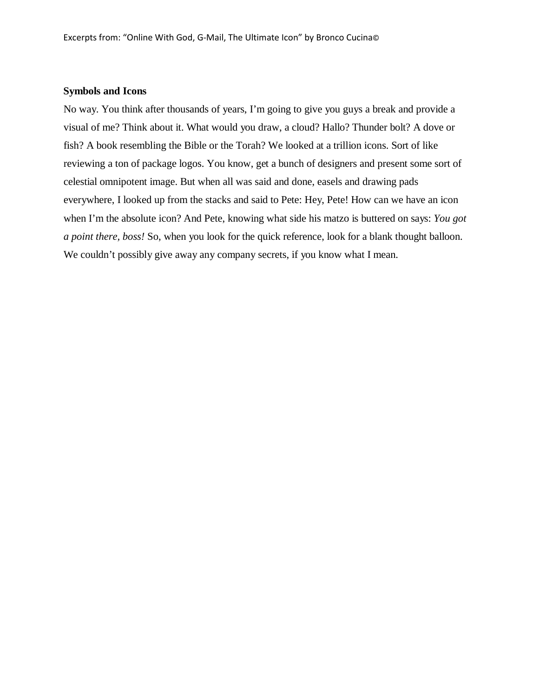#### **Symbols and Icons**

No way. You think after thousands of years, I'm going to give you guys a break and provide a visual of me? Think about it. What would you draw, a cloud? Hallo? Thunder bolt? A dove or fish? A book resembling the Bible or the Torah? We looked at a trillion icons. Sort of like reviewing a ton of package logos. You know, get a bunch of designers and present some sort of celestial omnipotent image. But when all was said and done, easels and drawing pads everywhere, I looked up from the stacks and said to Pete: Hey, Pete! How can we have an icon when I'm the absolute icon? And Pete, knowing what side his matzo is buttered on says: *You got a point there, boss!* So, when you look for the quick reference, look for a blank thought balloon. We couldn't possibly give away any company secrets, if you know what I mean.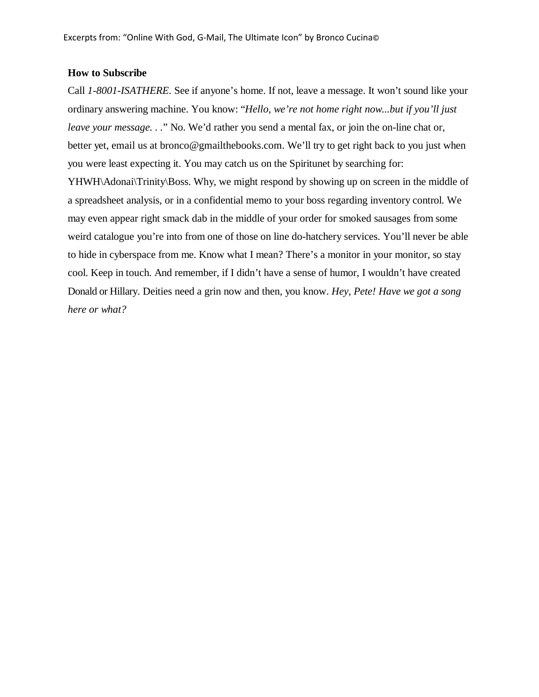#### **How to Subscribe**

Call *1-8001-ISATHERE*. See if anyone's home. If not, leave a message. It won't sound like your ordinary answering machine. You know: "*Hello, we're not home right now...but if you'll just leave your message. . .*" No. We'd rather you send a mental fax, or join the on-line chat or, better yet, email us at bronco@gmailthebooks.com. We'll try to get right back to you just when you were least expecting it. You may catch us on the Spiritunet by searching for: YHWH\Adonai\Trinity\Boss. Why, we might respond by showing up on screen in the middle of a spreadsheet analysis, or in a confidential memo to your boss regarding inventory control. We may even appear right smack dab in the middle of your order for smoked sausages from some weird catalogue you're into from one of those on line do-hatchery services. You'll never be able to hide in cyberspace from me. Know what I mean? There's a monitor in your monitor, so stay cool. Keep in touch. And remember, if I didn't have a sense of humor, I wouldn't have created Donald or Hillary. Deities need a grin now and then, you know. *Hey, Pete! Have we got a song here or what?*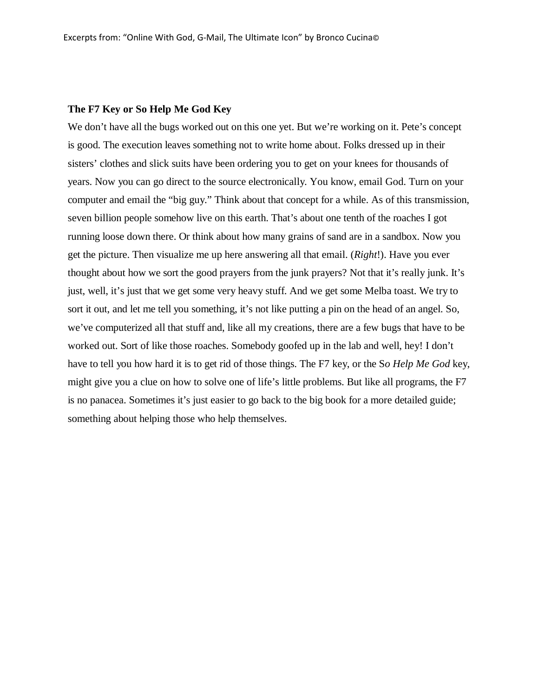#### **The F7 Key or So Help Me God Key**

We don't have all the bugs worked out on this one yet. But we're working on it. Pete's concept is good. The execution leaves something not to write home about. Folks dressed up in their sisters' clothes and slick suits have been ordering you to get on your knees for thousands of years. Now you can go direct to the source electronically. You know, email God. Turn on your computer and email the "big guy." Think about that concept for a while. As of this transmission, seven billion people somehow live on this earth. That's about one tenth of the roaches I got running loose down there. Or think about how many grains of sand are in a sandbox. Now you get the picture. Then visualize me up here answering all that email. (*Right*!). Have you ever thought about how we sort the good prayers from the junk prayers? Not that it's really junk. It's just, well, it's just that we get some very heavy stuff. And we get some Melba toast. We try to sort it out, and let me tell you something, it's not like putting a pin on the head of an angel. So, we've computerized all that stuff and, like all my creations, there are a few bugs that have to be worked out. Sort of like those roaches. Somebody goofed up in the lab and well, hey! I don't have to tell you how hard it is to get rid of those things. The F7 key, or the S*o Help Me God* key, might give you a clue on how to solve one of life's little problems. But like all programs, the F7 is no panacea. Sometimes it's just easier to go back to the big book for a more detailed guide; something about helping those who help themselves.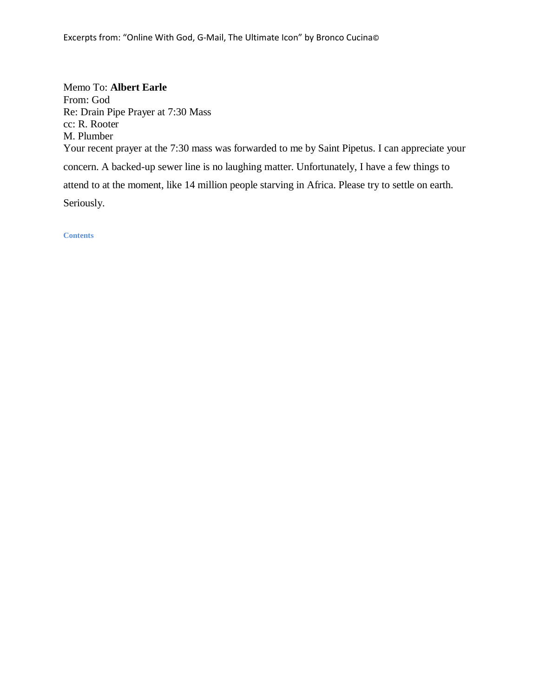Memo To: **Albert Earle**  From: God Re: Drain Pipe Prayer at 7:30 Mass cc: R. Rooter M. Plumber Your recent prayer at the 7:30 mass was forwarded to me by Saint Pipetus. I can appreciate your concern. A backed-up sewer line is no laughing matter. Unfortunately, I have a few things to attend to at the moment, like 14 million people starving in Africa. Please try to settle on earth. Seriously.

**Contents**